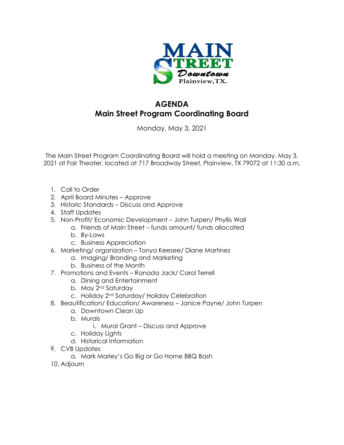

## **AGENDA Main Street Program Coordinating Board**

Monday, May 3, 2021

The Main Street Program Coordinating Board will hold a meeting on Monday, May 3, 2021 at Fair Theater, located at 717 Broadway Street, Plainview, TX 79072 at 11:30 a.m.

- 1. Call to Order
- 2. April Board Minutes Approve
- 3. Historic Standards Discuss and Approve
- 4. Staff Updates
- 5. Non-Profit/ Economic Development John Turpen/ Phyllis Wall
	- a. Friends of Main Street funds amount/ funds allocated
	- b. By-Laws
	- c. Business Appreciation
- 6. Marketing/ organization Tonya Keesee/ Diane Martinez
	- a. Imaging/ Branding and Marketing
	- b. Business of the Month
- 7. Promotions and Events Ranada Jack/ Carol Terrell
	- a. Dining and Entertainment
	- b. May 2<sup>nd</sup> Saturday
	- c. Holiday 2nd Saturday/ Holiday Celebration
- 8. Beautification/ Education/ Awareness Janice Payne/ John Turpen
	- a. Downtown Clean Up
	- b. Murals
		- i. Mural Grant Discuss and Approve
	- c. Holiday Lights
	- d. Historical Information
- 9. CVB Updates
	- a. Mark Marley's Go Big or Go Home BBQ Bash
- 10. Adjourn